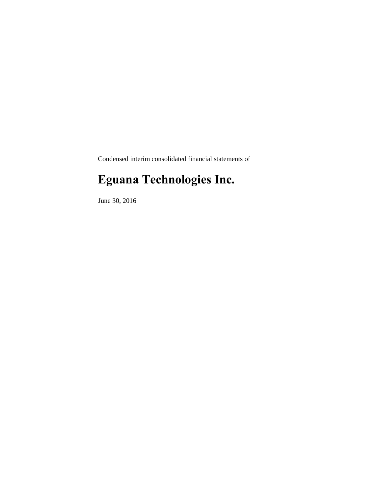Condensed interim consolidated financial statements of

# **Eguana Technologies Inc.**

June 30, 2016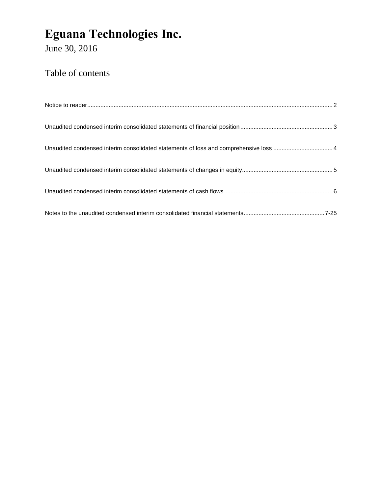June 30, 2016

### Table of contents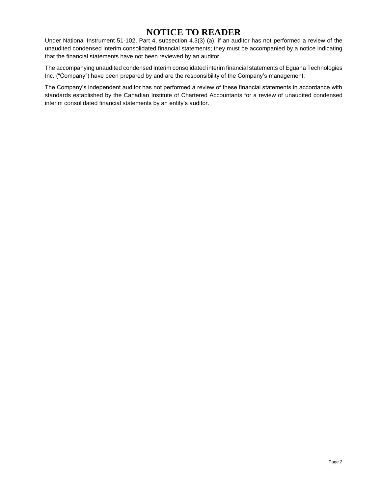### **NOTICE TO READER**

Under National Instrument 51-102, Part 4, subsection 4.3(3) (a), if an auditor has not performed a review of the unaudited condensed interim consolidated financial statements; they must be accompanied by a notice indicating that the financial statements have not been reviewed by an auditor.

The accompanying unaudited condensed interim consolidated interim financial statements of Eguana Technologies Inc. ("Company") have been prepared by and are the responsibility of the Company's management.

The Company's independent auditor has not performed a review of these financial statements in accordance with standards established by the Canadian Institute of Chartered Accountants for a review of unaudited condensed interim consolidated financial statements by an entity's auditor.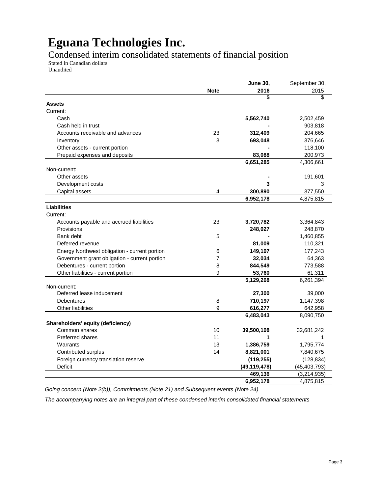Condensed interim consolidated statements of financial position

Stated in Canadian dollars Unaudited

|                                               |                | <b>June 30,</b> | September 30,  |
|-----------------------------------------------|----------------|-----------------|----------------|
|                                               | <b>Note</b>    | 2016            | 2015           |
|                                               |                | \$              | \$             |
| <b>Assets</b>                                 |                |                 |                |
| Current:                                      |                |                 |                |
| Cash                                          |                | 5,562,740       | 2,502,459      |
| Cash held in trust                            |                |                 | 903,818        |
| Accounts receivable and advances              | 23             | 312,409         | 204,665        |
| Inventory                                     | 3              | 693,048         | 376,646        |
| Other assets - current portion                |                |                 | 118,100        |
| Prepaid expenses and deposits                 |                | 83,088          | 200,973        |
|                                               |                | 6,651,285       | 4,306,661      |
| Non-current:                                  |                |                 |                |
| Other assets                                  |                |                 | 191,601        |
| Development costs                             |                | 3               | 3              |
| Capital assets                                | 4              | 300,890         | 377,550        |
|                                               |                | 6,952,178       | 4,875,815      |
| <b>Liabilities</b>                            |                |                 |                |
| Current:                                      |                |                 |                |
| Accounts payable and accrued liabilities      | 23             | 3,720,782       | 3,364,843      |
| Provisions                                    |                | 248,027         | 248,870        |
| Bank debt                                     | 5              |                 | 1,460,855      |
| Deferred revenue                              |                | 81,009          | 110,321        |
| Energy Northwest obligation - current portion | 6              | 149,107         | 177,243        |
| Government grant obligation - current portion | $\overline{7}$ | 32,034          | 64,363         |
| Debentures - current portion                  | 8              | 844,549         | 773,588        |
| Other liabilities - current portion           | 9              | 53,760          | 61,311         |
|                                               |                | 5,129,268       | 6,261,394      |
| Non-current:                                  |                |                 |                |
| Deferred lease inducement                     |                | 27,300          | 39,000         |
| Debentures                                    | 8              | 710,197         | 1,147,398      |
| Other liabilities                             | 9              | 616,277         | 642,958        |
|                                               |                | 6,483,043       | 8,090,750      |
| Shareholders' equity (deficiency)             |                |                 |                |
| Common shares                                 | 10             | 39,500,108      | 32,681,242     |
| <b>Preferred shares</b>                       | 11             | 1               |                |
| Warrants                                      | 13             | 1,386,759       | 1,795,774      |
| Contributed surplus                           | 14             | 8,821,001       | 7,840,675      |
| Foreign currency translation reserve          |                | (119, 255)      | (128, 834)     |
| <b>Deficit</b>                                |                | (49, 119, 478)  | (45, 403, 793) |
|                                               |                | 469,136         | (3,214,935)    |
|                                               |                | 6,952,178       | 4,875,815      |
|                                               |                |                 |                |

*Going concern (Note 2(b)), Commitments (Note 21) and Subsequent events (Note 24)*

*The accompanying notes are an integral part of these condensed interim consolidated financial statements*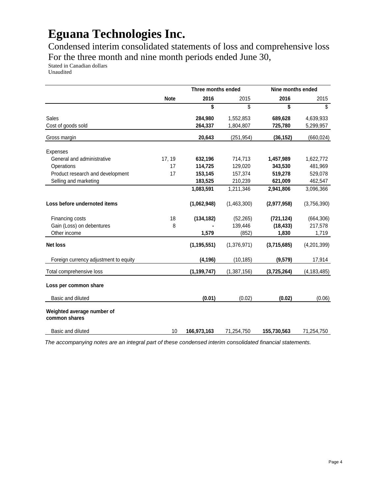Condensed interim consolidated statements of loss and comprehensive loss For the three month and nine month periods ended June 30,

Stated in Canadian dollars

Unaudited

|                                             |             | Three months ended |             | Nine months ended |               |
|---------------------------------------------|-------------|--------------------|-------------|-------------------|---------------|
|                                             | <b>Note</b> | 2016               | 2015        | 2016              | 2015          |
|                                             |             | \$                 | \$          | \$                | \$            |
| <b>Sales</b>                                |             | 284,980            | 1,552,853   | 689,628           | 4,639,933     |
| Cost of goods sold                          |             | 264,337            | 1,804,807   | 725,780           | 5,299,957     |
| Gross margin                                |             | 20,643             | (251,954)   | (36, 152)         | (660, 024)    |
| <b>Expenses</b>                             |             |                    |             |                   |               |
| General and administrative                  | 17, 19      | 632,196            | 714,713     | 1,457,989         | 1,622,772     |
| Operations                                  | 17          | 114,725            | 129,020     | 343,530           | 481,969       |
| Product research and development            | 17          | 153,145            | 157,374     | 519,278           | 529,078       |
| Selling and marketing                       |             | 183,525            | 210,239     | 621,009           | 462,547       |
|                                             |             | 1,083,591          | 1,211,346   | 2,941,806         | 3,096,366     |
| Loss before undernoted items                |             | (1,062,948)        | (1,463,300) | (2,977,958)       | (3,756,390)   |
| Financing costs                             | 18          | (134, 182)         | (52, 265)   | (721, 124)        | (664, 306)    |
| Gain (Loss) on debentures                   | 8           |                    | 139,446     | (18, 433)         | 217,578       |
| Other income                                |             | 1,579              | (852)       | 1,830             | 1,719         |
| <b>Net loss</b>                             |             | (1, 195, 551)      | (1,376,971) | (3,715,685)       | (4,201,399)   |
| Foreign currency adjustment to equity       |             | (4, 196)           | (10, 185)   | (9,579)           | 17,914        |
| Total comprehensive loss                    |             | (1, 199, 747)      | (1,387,156) | (3,725,264)       | (4, 183, 485) |
| Loss per common share                       |             |                    |             |                   |               |
| Basic and diluted                           |             | (0.01)             | (0.02)      | (0.02)            | (0.06)        |
| Weighted average number of<br>common shares |             |                    |             |                   |               |
| Basic and diluted                           | 10          | 166,973,163        | 71,254,750  | 155,730,563       | 71,254,750    |

*The accompanying notes are an integral part of these condensed interim consolidated financial statements.*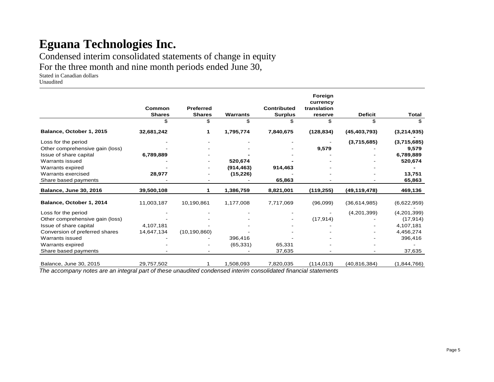Condensed interim consolidated statements of change in equity

For the three month and nine month periods ended June 30,

Stated in Canadian dollars

Unaudited

|                                 |               |                  |                 |                    | Foreign                 |                |              |
|---------------------------------|---------------|------------------|-----------------|--------------------|-------------------------|----------------|--------------|
|                                 | Common        | <b>Preferred</b> |                 | <b>Contributed</b> | currency<br>translation |                |              |
|                                 | <b>Shares</b> | <b>Shares</b>    | <b>Warrants</b> | <b>Surplus</b>     | reserve                 | <b>Deficit</b> | <b>Total</b> |
|                                 | \$            | \$               | \$              | \$                 | \$                      | \$             | \$           |
| Balance, October 1, 2015        | 32,681,242    |                  | 1,795,774       | 7,840,675          | (128, 834)              | (45, 403, 793) | (3,214,935)  |
| Loss for the period             |               |                  |                 |                    |                         | (3,715,685)    | (3,715,685)  |
| Other comprehensive gain (loss) |               |                  |                 |                    | 9,579                   |                | 9,579        |
| Issue of share capital          | 6,789,889     |                  |                 |                    |                         |                | 6,789,889    |
| Warrants issued                 |               |                  | 520,674         |                    |                         |                | 520,674      |
| Warrants expired                |               |                  | (914, 463)      | 914,463            |                         |                |              |
| Warrants exercised              | 28,977        |                  | (15, 226)       |                    |                         |                | 13,751       |
| Share based payments            |               |                  |                 | 65,863             |                         |                | 65,863       |
| <b>Balance, June 30, 2016</b>   | 39,500,108    |                  | 1,386,759       | 8,821,001          | (119, 255)              | (49, 119, 478) | 469,136      |
| Balance, October 1, 2014        | 11,003,187    | 10,190,861       | 1,177,008       | 7,717,069          | (96,099)                | (36,614,985)   | (6,622,959)  |
| Loss for the period             |               |                  |                 |                    |                         | (4,201,399)    | (4,201,399)  |
| Other comprehensive gain (loss) |               |                  |                 |                    | (17, 914)               |                | (17, 914)    |
| Issue of share capital          | 4,107,181     |                  |                 |                    |                         |                | 4,107,181    |
| Conversion of preferred shares  | 14,647,134    | (10, 190, 860)   |                 |                    |                         |                | 4,456,274    |
| Warrants issued                 |               |                  | 396,416         |                    |                         |                | 396,416      |
| Warrants expired                |               |                  | (65, 331)       | 65,331             |                         |                |              |
| Share based payments            |               |                  |                 | 37,635             |                         |                | 37,635       |
| Balance, June 30, 2015          | 29,757,502    |                  | 1,508,093       | 7,820,035          | (114, 013)              | (40, 816, 384) | (1,844,766)  |

*The accompany notes are an integral part of these unaudited condensed interim consolidated financial statements*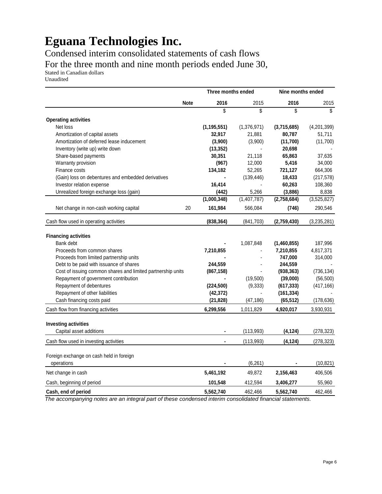Condensed interim consolidated statements of cash flows For the three month and nine month periods ended June 30,

Stated in Canadian dollars Unaudited

|                                                             |             |               | Three months ended |             | Nine months ended |  |
|-------------------------------------------------------------|-------------|---------------|--------------------|-------------|-------------------|--|
|                                                             | <b>Note</b> | 2016          | 2015               | 2016        | 2015              |  |
|                                                             |             | \$            | \$                 | \$          | \$                |  |
| <b>Operating activities</b>                                 |             |               |                    |             |                   |  |
| Net loss                                                    |             | (1, 195, 551) | (1,376,971)        | (3,715,685) | (4,201,399)       |  |
| Amortization of capital assets                              |             | 32,917        | 21,881             | 80,787      | 51,711            |  |
| Amortization of deferred lease inducement                   |             | (3,900)       | (3,900)            | (11,700)    | (11,700)          |  |
| Inventory (write up) write down                             |             | (13, 352)     |                    | 20,698      |                   |  |
| Share-based payments                                        |             | 30,351        | 21,118             | 65,863      | 37,635            |  |
| Warranty provision                                          |             | (967)         | 12,000             | 5,416       | 34,000            |  |
| Finance costs                                               |             | 134,182       | 52,265             | 721,127     | 664,306           |  |
| (Gain) loss on debentures and embedded derivatives          |             |               | (139, 446)         | 18,433      | (217, 578)        |  |
| Investor relation expense                                   |             | 16,414        |                    | 60,263      | 108,360           |  |
| Unrealized foreign exchange loss (gain)                     |             | (442)         | 5,266              | (3,886)     | 8,838             |  |
|                                                             |             | (1,000,348)   | (1,407,787)        | (2,758,684) | (3,525,827)       |  |
| Net change in non-cash working capital                      | 20          | 161,984       | 566,084            | (746)       | 290,546           |  |
| Cash flow used in operating activities                      |             | (838, 364)    | (841,703)          | (2,759,430) | (3,235,281)       |  |
| <b>Financing activities</b>                                 |             |               |                    |             |                   |  |
| Bank debt                                                   |             |               | 1,087,848          | (1,460,855) | 187,996           |  |
| Proceeds from common shares                                 |             | 7,210,855     |                    | 7,210,855   | 4,817,371         |  |
| Proceeds from limited partnership units                     |             |               |                    | 747,000     | 314,000           |  |
| Debt to be paid with issuance of shares                     |             | 244,559       |                    | 244,559     |                   |  |
| Cost of issuing common shares and limited partnership units |             | (867, 158)    |                    | (938, 363)  | (736, 134)        |  |
| Repayment of government contribution                        |             |               | (19,500)           | (39,000)    | (56, 500)         |  |
| Repayment of debentures                                     |             | (224, 500)    | (9, 333)           | (617, 333)  | (417, 166)        |  |
| Repayment of other liabilities                              |             | (42, 372)     |                    | (161, 334)  |                   |  |
| Cash financing costs paid                                   |             | (21, 828)     | (47, 186)          | (65, 512)   | (178, 636)        |  |
| Cash flow from financing activities                         |             | 6,299,556     | 1,011,829          | 4,920,017   | 3,930,931         |  |
| <b>Investing activities</b>                                 |             |               |                    |             |                   |  |
| Capital asset additions                                     |             |               | (113,993)          | (4, 124)    | (278, 323)        |  |
| Cash flow used in investing activities                      |             |               | (113,993)          | (4, 124)    | (278, 323)        |  |
|                                                             |             |               |                    |             |                   |  |
| Foreign exchange on cash held in foreign                    |             |               |                    |             |                   |  |
| operations                                                  |             |               | (6, 261)           |             | (10, 821)         |  |
| Net change in cash                                          |             | 5,461,192     | 49,872             | 2,156,463   | 406,506           |  |
| Cash, beginning of period                                   |             | 101,548       | 412,594            | 3,406,277   | 55,960            |  |
| Cash, end of period                                         |             | 5,562,740     | 462,466            | 5,562,740   | 462,466           |  |

*The accompanying notes are an integral part of these condensed interim consolidated financial statements.*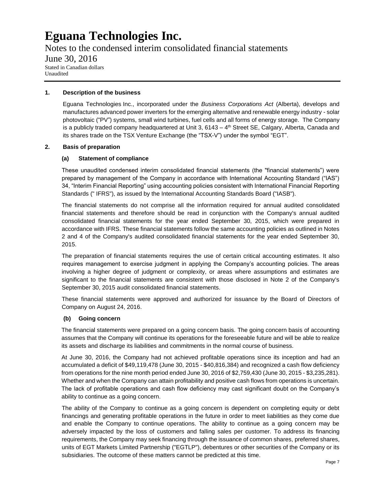Notes to the condensed interim consolidated financial statements June 30, 2016 Stated in Canadian dollars

Unaudited

#### **1. Description of the business**

Eguana Technologies Inc., incorporated under the *Business Corporations Act* (Alberta), develops and manufactures advanced power inverters for the emerging alternative and renewable energy industry - solar photovoltaic ("PV") systems, small wind turbines, fuel cells and all forms of energy storage. The Company is a publicly traded company headquartered at Unit 3, 6143 – 4<sup>th</sup> Street SE, Calgary, Alberta, Canada and its shares trade on the TSX Venture Exchange (the "TSX-V") under the symbol "EGT".

#### **2. Basis of preparation**

#### **(a) Statement of compliance**

These unaudited condensed interim consolidated financial statements (the "financial statements") were prepared by management of the Company in accordance with International Accounting Standard ("IAS") 34, "Interim Financial Reporting" using accounting policies consistent with International Financial Reporting Standards (" IFRS"), as issued by the International Accounting Standards Board ("IASB").

The financial statements do not comprise all the information required for annual audited consolidated financial statements and therefore should be read in conjunction with the Company's annual audited consolidated financial statements for the year ended September 30, 2015, which were prepared in accordance with IFRS. These financial statements follow the same accounting policies as outlined in Notes 2 and 4 of the Company's audited consolidated financial statements for the year ended September 30, 2015.

The preparation of financial statements requires the use of certain critical accounting estimates. It also requires management to exercise judgment in applying the Company's accounting policies. The areas involving a higher degree of judgment or complexity, or areas where assumptions and estimates are significant to the financial statements are consistent with those disclosed in Note 2 of the Company's September 30, 2015 audit consolidated financial statements.

These financial statements were approved and authorized for issuance by the Board of Directors of Company on August 24, 2016.

#### **(b) Going concern**

The financial statements were prepared on a going concern basis. The going concern basis of accounting assumes that the Company will continue its operations for the foreseeable future and will be able to realize its assets and discharge its liabilities and commitments in the normal course of business.

At June 30, 2016, the Company had not achieved profitable operations since its inception and had an accumulated a deficit of \$49,119,478 (June 30, 2015 - \$40,816,384) and recognized a cash flow deficiency from operations for the nine month period ended June 30, 2016 of \$2,759,430 (June 30, 2015 - \$3,235,281). Whether and when the Company can attain profitability and positive cash flows from operations is uncertain. The lack of profitable operations and cash flow deficiency may cast significant doubt on the Company's ability to continue as a going concern.

The ability of the Company to continue as a going concern is dependent on completing equity or debt financings and generating profitable operations in the future in order to meet liabilities as they come due and enable the Company to continue operations. The ability to continue as a going concern may be adversely impacted by the loss of customers and falling sales per customer. To address its financing requirements, the Company may seek financing through the issuance of common shares, preferred shares, units of EGT Markets Limited Partnership ("EGTLP"), debentures or other securities of the Company or its subsidiaries. The outcome of these matters cannot be predicted at this time.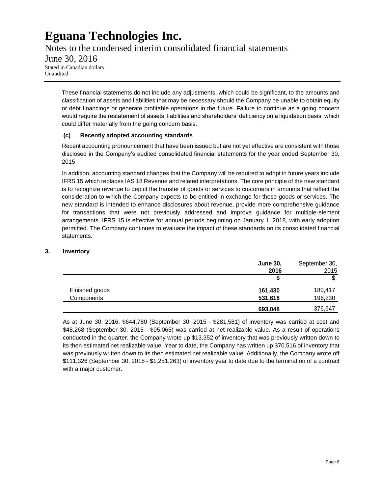Notes to the condensed interim consolidated financial statements June 30, 2016 Stated in Canadian dollars Unaudited

These financial statements do not include any adjustments, which could be significant, to the amounts and classification of assets and liabilities that may be necessary should the Company be unable to obtain equity or debt financings or generate profitable operations in the future. Failure to continue as a going concern would require the restatement of assets, liabilities and shareholders' deficiency on a liquidation basis, which could differ materially from the going concern basis.

#### **(c) Recently adopted accounting standards**

Recent accounting pronouncement that have been issued but are not yet effective are consistent with those disclosed in the Company's audited consolidated financial statements for the year ended September 30, 2015

In addition, accounting standard changes that the Company will be required to adopt in future years include IFRS 15 which replaces IAS 18 Revenue and related interpretations. The core principle of the new standard is to recognize revenue to depict the transfer of goods or services to customers in amounts that reflect the consideration to which the Company expects to be entitled in exchange for those goods or services. The new standard is intended to enhance disclosures about revenue, provide more comprehensive guidance for transactions that were not previously addressed and improve guidance for multiple-element arrangements. IFRS 15 is effective for annual periods beginning on January 1, 2018, with early adoption permitted. The Company continues to evaluate the impact of these standards on its consolidated financial statements.

#### **3. Inventory**

|                | <b>June 30,</b> | September 30, |
|----------------|-----------------|---------------|
|                | 2016            | 2015          |
|                |                 |               |
| Finished goods | 161,430         | 180,417       |
| Components     | 531,618         | 196,230       |
|                | 693,048         | 376,647       |

As at June 30, 2016, \$644,780 (September 30, 2015 - \$281,581) of inventory was carried at cost and \$48,268 (September 30, 2015 - \$95,065) was carried at net realizable value. As a result of operations conducted in the quarter, the Company wrote up \$13,352 of inventory that was previously written down to its then estimated net realizable value. Year to date, the Company has written up \$70,516 of inventory that was previously written down to its then estimated net realizable value. Additionally, the Company wrote off \$111,326 (September 30, 2015 - \$1,251,263) of inventory year to date due to the termination of a contract with a major customer.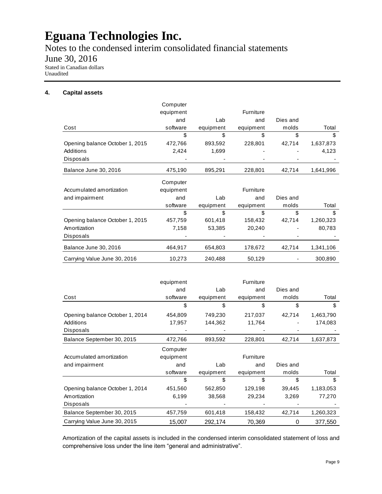Notes to the condensed interim consolidated financial statements

June 30, 2016

Stated in Canadian dollars Unaudited

#### **4. Capital assets**

|                                 | Computer  |           |                  |          |           |
|---------------------------------|-----------|-----------|------------------|----------|-----------|
|                                 | equipment |           | Furniture        |          |           |
|                                 | and       | Lab       | and              | Dies and |           |
| Cost                            | software  | equipment | equipment        | molds    | Total     |
|                                 | \$        | \$        | \$               | \$       | \$        |
| Opening balance October 1, 2015 | 472,766   | 893,592   | 228,801          | 42,714   | 1,637,873 |
| Additions                       | 2,424     | 1,699     |                  |          | 4,123     |
| Disposals                       |           |           |                  |          |           |
| Balance June 30, 2016           | 475,190   | 895,291   | 228,801          | 42,714   | 1,641,996 |
|                                 | Computer  |           |                  |          |           |
| Accumulated amortization        | equipment |           | <b>Furniture</b> |          |           |
| and impairment                  | and       | Lab       | and              | Dies and |           |
|                                 | software  | equipment | equipment        | molds    | Total     |
|                                 | \$        | \$        | \$               | \$       | \$        |
| Opening balance October 1, 2015 | 457,759   | 601,418   | 158,432          | 42,714   | 1,260,323 |
| Amortization                    | 7,158     | 53,385    | 20,240           |          | 80,783    |
| Disposals                       |           |           |                  |          |           |
| Balance June 30, 2016           | 464,917   | 654,803   | 178,672          | 42,714   | 1,341,106 |
| Carrying Value June 30, 2016    | 10,273    | 240,488   | 50,129           |          | 300,890   |

|                                 | equipment |           | Furniture |          |           |
|---------------------------------|-----------|-----------|-----------|----------|-----------|
|                                 | and       | Lab       | and       | Dies and |           |
| Cost                            | software  | equipment | equipment | molds    | Total     |
|                                 | \$        | S         | \$        | \$       | \$        |
| Opening balance October 1, 2014 | 454,809   | 749,230   | 217,037   | 42,714   | 1,463,790 |
| Additions                       | 17,957    | 144,362   | 11,764    |          | 174,083   |
| <b>Disposals</b>                |           |           |           |          |           |
| Balance September 30, 2015      | 472,766   | 893,592   | 228,801   | 42,714   | 1,637,873 |
|                                 | Computer  |           |           |          |           |
| Accumulated amortization        | equipment |           | Furniture |          |           |
| and impairment                  | and       | Lab       | and       | Dies and |           |
|                                 | software  | equipment | equipment | molds    | Total     |
|                                 | S         | S         | S         |          | S         |
| Opening balance October 1, 2014 | 451,560   | 562,850   | 129,198   | 39,445   | 1,183,053 |
| Amortization                    | 6,199     | 38,568    | 29,234    | 3,269    | 77,270    |
| <b>Disposals</b>                |           |           |           |          |           |
| Balance September 30, 2015      | 457,759   | 601,418   | 158,432   | 42,714   | 1,260,323 |
| Carrying Value June 30, 2015    | 15,007    | 292,174   | 70,369    | 0        | 377,550   |

Amortization of the capital assets is included in the condensed interim consolidated statement of loss and comprehensive loss under the line item "general and administrative".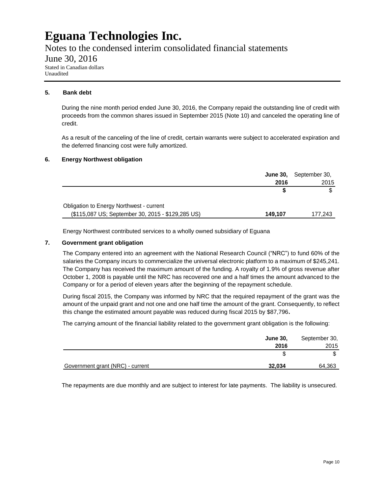Notes to the condensed interim consolidated financial statements

June 30, 2016

Stated in Canadian dollars Unaudited

#### **5. Bank debt**

During the nine month period ended June 30, 2016, the Company repaid the outstanding line of credit with proceeds from the common shares issued in September 2015 (Note 10) and canceled the operating line of credit.

As a result of the canceling of the line of credit, certain warrants were subject to accelerated expiration and the deferred financing cost were fully amortized.

#### **6. Energy Northwest obligation**

|                                                   |         | <b>June 30, September 30,</b> |
|---------------------------------------------------|---------|-------------------------------|
|                                                   | 2016    | 2015                          |
|                                                   |         |                               |
| Obligation to Energy Northwest - current          |         |                               |
| (\$115,087 US; September 30, 2015 - \$129,285 US) | 149,107 | 177,243                       |

Energy Northwest contributed services to a wholly owned subsidiary of Eguana

#### **7. Government grant obligation**

The Company entered into an agreement with the National Research Council ("NRC") to fund 60% of the salaries the Company incurs to commercialize the universal electronic platform to a maximum of \$245,241. The Company has received the maximum amount of the funding. A royalty of 1.9% of gross revenue after October 1, 2008 is payable until the NRC has recovered one and a half times the amount advanced to the Company or for a period of eleven years after the beginning of the repayment schedule.

During fiscal 2015, the Company was informed by NRC that the required repayment of the grant was the amount of the unpaid grant and not one and one half time the amount of the grant. Consequently, to reflect this change the estimated amount payable was reduced during fiscal 2015 by \$87,796**.**

The carrying amount of the financial liability related to the government grant obligation is the following:

|                                  | <b>June 30,</b> | September 30, |
|----------------------------------|-----------------|---------------|
|                                  | 2016            | 2015          |
|                                  |                 |               |
| Government grant (NRC) - current | 32,034          | 64,363        |

The repayments are due monthly and are subject to interest for late payments. The liability is unsecured.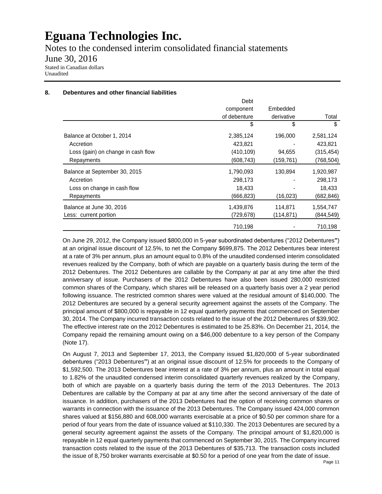Notes to the condensed interim consolidated financial statements

June 30, 2016

Stated in Canadian dollars Unaudited

#### **8. Debentures and other financial liabilities**

|                                    | Debt         |            |            |
|------------------------------------|--------------|------------|------------|
|                                    | component    | Embedded   |            |
|                                    | of debenture | derivative | Total      |
|                                    | \$           | \$         | \$         |
| Balance at October 1, 2014         | 2,385,124    | 196,000    | 2,581,124  |
| Accretion                          | 423,821      |            | 423,821    |
| Loss (gain) on change in cash flow | (410, 109)   | 94,655     | (315, 454) |
| Repayments                         | (608, 743)   | (159, 761) | (768,504)  |
| Balance at September 30, 2015      | 1,790,093    | 130,894    | 1,920,987  |
| Accretion                          | 298,173      |            | 298,173    |
| Loss on change in cash flow        | 18,433       |            | 18,433     |
| Repayments                         | (666, 823)   | (16, 023)  | (682,846)  |
| Balance at June 30, 2016           | 1,439,876    | 114,871    | 1,554,747  |
| Less: current portion              | (729,678)    | (114, 871) | (844, 549) |
|                                    | 710,198      |            | 710,198    |

On June 29, 2012, the Company issued \$800,000 in 5-year subordinated debentures ("2012 Debentures**"**) at an original issue discount of 12.5%, to net the Company \$699,875. The 2012 Debentures bear interest at a rate of 3% per annum, plus an amount equal to 0.8% of the unaudited condensed interim consolidated revenues realized by the Company, both of which are payable on a quarterly basis during the term of the 2012 Debentures. The 2012 Debentures are callable by the Company at par at any time after the third anniversary of issue. Purchasers of the 2012 Debentures have also been issued 280,000 restricted common shares of the Company, which shares will be released on a quarterly basis over a 2 year period following issuance. The restricted common shares were valued at the residual amount of \$140,000. The 2012 Debentures are secured by a general security agreement against the assets of the Company. The principal amount of \$800,000 is repayable in 12 equal quarterly payments that commenced on September 30, 2014. The Company incurred transaction costs related to the issue of the 2012 Debentures of \$39,902. The effective interest rate on the 2012 Debentures is estimated to be 25.83%. On December 21, 2014, the Company repaid the remaining amount owing on a \$46,000 debenture to a key person of the Company (Note 17).

On August 7, 2013 and September 17, 2013, the Company issued \$1,820,000 of 5-year subordinated debentures ("2013 Debentures**"**) at an original issue discount of 12.5% for proceeds to the Company of \$1,592,500. The 2013 Debentures bear interest at a rate of 3% per annum, plus an amount in total equal to 1.82% of the unaudited condensed interim consolidated quarterly revenues realized by the Company, both of which are payable on a quarterly basis during the term of the 2013 Debentures. The 2013 Debentures are callable by the Company at par at any time after the second anniversary of the date of issuance. In addition, purchasers of the 2013 Debentures had the option of receiving common shares or warrants in connection with the issuance of the 2013 Debentures. The Company issued 424,000 common shares valued at \$156,880 and 608,000 warrants exercisable at a price of \$0.50 per common share for a period of four years from the date of issuance valued at \$110,330. The 2013 Debentures are secured by a general security agreement against the assets of the Company. The principal amount of \$1,820,000 is repayable in 12 equal quarterly payments that commenced on September 30, 2015. The Company incurred transaction costs related to the issue of the 2013 Debentures of \$35,713. The transaction costs included the issue of 8,750 broker warrants exercisable at \$0.50 for a period of one year from the date of issue.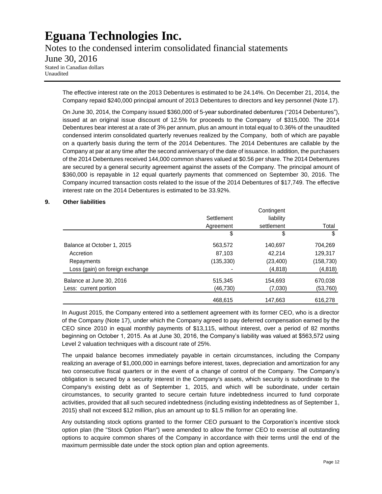Notes to the condensed interim consolidated financial statements

### June 30, 2016

Stated in Canadian dollars Unaudited

> The effective interest rate on the 2013 Debentures is estimated to be 24.14%. On December 21, 2014, the Company repaid \$240,000 principal amount of 2013 Debentures to directors and key personnel (Note 17).

> On June 30, 2014, the Company issued \$360,000 of 5-year subordinated debentures ("2014 Debentures"), issued at an original issue discount of 12.5% for proceeds to the Company of \$315,000. The 2014 Debentures bear interest at a rate of 3% per annum, plus an amount in total equal to 0.36% of the unaudited condensed interim consolidated quarterly revenues realized by the Company, both of which are payable on a quarterly basis during the term of the 2014 Debentures. The 2014 Debentures are callable by the Company at par at any time after the second anniversary of the date of issuance. In addition, the purchasers of the 2014 Debentures received 144,000 common shares valued at \$0.56 per share. The 2014 Debentures are secured by a general security agreement against the assets of the Company. The principal amount of \$360,000 is repayable in 12 equal quarterly payments that commenced on September 30, 2016. The Company incurred transaction costs related to the issue of the 2014 Debentures of \$17,749. The effective interest rate on the 2014 Debentures is estimated to be 33.92%.

#### **9. Other liabilities**

|                                 |            | Contingent |            |
|---------------------------------|------------|------------|------------|
|                                 | Settlement | liability  |            |
|                                 | Agreement  | settlement | Total      |
|                                 | \$         | \$         | \$         |
| Balance at October 1, 2015      | 563,572    | 140,697    | 704,269    |
| Accretion                       | 87,103     | 42,214     | 129,317    |
| Repayments                      | (135, 330) | (23, 400)  | (158, 730) |
| Loss (gain) on foreign exchange |            | (4, 818)   | (4,818)    |
| Balance at June 30, 2016        | 515.345    | 154,693    | 670,038    |
| Less: current portion           | (46,730)   | (7,030)    | (53, 760)  |
|                                 | 468.615    | 147,663    | 616,278    |

In August 2015, the Company entered into a settlement agreement with its former CEO, who is a director of the Company (Note 17), under which the Company agreed to pay deferred compensation earned by the CEO since 2010 in equal monthly payments of \$13,115, without interest, over a period of 82 months beginning on October 1, 2015. As at June 30, 2016, the Company's liability was valued at \$563,572 using Level 2 valuation techniques with a discount rate of 25%.

The unpaid balance becomes immediately payable in certain circumstances, including the Company realizing an average of \$1,000,000 in earnings before interest, taxes, depreciation and amortization for any two consecutive fiscal quarters or in the event of a change of control of the Company. The Company's obligation is secured by a security interest in the Company's assets, which security is subordinate to the Company's existing debt as of September 1, 2015, and which will be subordinate, under certain circumstances, to security granted to secure certain future indebtedness incurred to fund corporate activities, provided that all such secured indebtedness (including existing indebtedness as of September 1, 2015) shall not exceed \$12 million, plus an amount up to \$1.5 million for an operating line.

Any outstanding stock options granted to the former CEO pursuant to the Corporation's incentive stock option plan (the "Stock Option Plan") were amended to allow the former CEO to exercise all outstanding options to acquire common shares of the Company in accordance with their terms until the end of the maximum permissible date under the stock option plan and option agreements.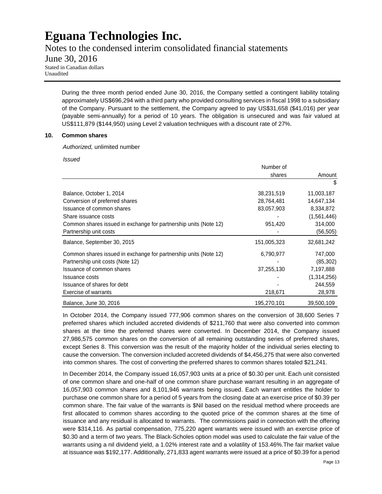Notes to the condensed interim consolidated financial statements

June 30, 2016

Stated in Canadian dollars Unaudited

> During the three month period ended June 30, 2016, the Company settled a contingent liability totaling approximately US\$696,294 with a third party who provided consulting services in fiscal 1998 to a subsidiary of the Company. Pursuant to the settlement, the Company agreed to pay US\$31,658 (\$41,016) per year (payable semi-annually) for a period of 10 years. The obligation is unsecured and was fair valued at US\$111,879 (\$144,950) using Level 2 valuation techniques with a discount rate of 27%.

#### **10. Common shares**

*Authorized,* unlimited number

*Issued* 

|                                                                  | Number of   |             |
|------------------------------------------------------------------|-------------|-------------|
|                                                                  | shares      | Amount      |
|                                                                  |             | \$          |
| Balance, October 1, 2014                                         | 38,231,519  | 11,003,187  |
| Conversion of preferred shares                                   | 28,764,481  | 14,647,134  |
| Issuance of common shares                                        | 83,057,903  | 8,334,872   |
| Share issuance costs                                             |             | (1,561,446) |
| Common shares issued in exchange for partnership units (Note 12) | 951,420     | 314,000     |
| Partnership unit costs                                           |             | (56, 505)   |
| Balance, September 30, 2015                                      | 151,005,323 | 32,681,242  |
| Common shares issued in exchange for partnership units (Note 12) | 6,790,977   | 747,000     |
| Partnership unit costs (Note 12)                                 |             | (85, 302)   |
| Issuance of common shares                                        | 37,255,130  | 7,197,888   |
| <b>Issuance costs</b>                                            |             | (1,314,256) |
| Issuance of shares for debt                                      |             | 244,559     |
| Exercise of warrants                                             | 218,671     | 28,978      |
| Balance, June 30, 2016                                           | 195,270,101 | 39,500,109  |

In October 2014, the Company issued 777,906 common shares on the conversion of 38,600 Series 7 preferred shares which included accreted dividends of \$211,760 that were also converted into common shares at the time the preferred shares were converted. In December 2014, the Company issued 27,986,575 common shares on the conversion of all remaining outstanding series of preferred shares, except Series 8. This conversion was the result of the majority holder of the individual series electing to cause the conversion. The conversion included accreted dividends of \$4,456,275 that were also converted into common shares. The cost of converting the preferred shares to common shares totaled \$21,241.

In December 2014, the Company issued 16,057,903 units at a price of \$0.30 per unit. Each unit consisted of one common share and one-half of one common share purchase warrant resulting in an aggregate of 16,057,903 common shares and 8,101,946 warrants being issued. Each warrant entitles the holder to purchase one common share for a period of 5 years from the closing date at an exercise price of \$0.39 per common share. The fair value of the warrants is \$Nil based on the residual method where proceeds are first allocated to common shares according to the quoted price of the common shares at the time of issuance and any residual is allocated to warrants. The commissions paid in connection with the offering were \$314,116. As partial compensation, 775,220 agent warrants were issued with an exercise price of \$0.30 and a term of two years. The Black-Scholes option model was used to calculate the fair value of the warrants using a nil dividend yield, a 1.02% interest rate and a volatility of 153.46%.The fair market value at issuance was \$192,177. Additionally, 271,833 agent warrants were issued at a price of \$0.39 for a period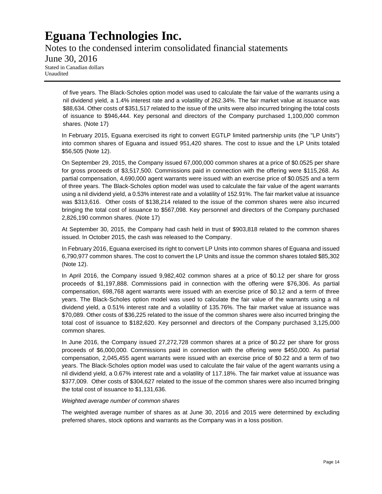Notes to the condensed interim consolidated financial statements June 30, 2016 Stated in Canadian dollars Unaudited

of five years. The Black-Scholes option model was used to calculate the fair value of the warrants using a nil dividend yield, a 1.4% interest rate and a volatility of 262.34%. The fair market value at issuance was \$88,634. Other costs of \$351,517 related to the issue of the units were also incurred bringing the total costs of issuance to \$946,444. Key personal and directors of the Company purchased 1,100,000 common shares. (Note 17)

In February 2015, Eguana exercised its right to convert EGTLP limited partnership units (the "LP Units") into common shares of Eguana and issued 951,420 shares. The cost to issue and the LP Units totaled \$56,505 (Note 12).

On September 29, 2015, the Company issued 67,000,000 common shares at a price of \$0.0525 per share for gross proceeds of \$3,517,500. Commissions paid in connection with the offering were \$115,268. As partial compensation, 4,690,000 agent warrants were issued with an exercise price of \$0.0525 and a term of three years. The Black-Scholes option model was used to calculate the fair value of the agent warrants using a nil dividend yield, a 0.53% interest rate and a volatility of 152.91%. The fair market value at issuance was \$313,616. Other costs of \$138,214 related to the issue of the common shares were also incurred bringing the total cost of issuance to \$567,098. Key personnel and directors of the Company purchased 2,826,190 common shares. (Note 17)

At September 30, 2015, the Company had cash held in trust of \$903,818 related to the common shares issued. In October 2015, the cash was released to the Company.

In February 2016, Eguana exercised its right to convert LP Units into common shares of Eguana and issued 6,790,977 common shares. The cost to convert the LP Units and issue the common shares totaled \$85,302 (Note 12).

In April 2016, the Company issued 9,982,402 common shares at a price of \$0.12 per share for gross proceeds of \$1,197,888. Commissions paid in connection with the offering were \$76,306. As partial compensation, 698,768 agent warrants were issued with an exercise price of \$0.12 and a term of three years. The Black-Scholes option model was used to calculate the fair value of the warrants using a nil dividend yield, a 0.51% interest rate and a volatility of 135.76%. The fair market value at issuance was \$70,089. Other costs of \$36,225 related to the issue of the common shares were also incurred bringing the total cost of issuance to \$182,620. Key personnel and directors of the Company purchased 3,125,000 common shares.

In June 2016, the Company issued 27,272,728 common shares at a price of \$0.22 per share for gross proceeds of \$6,000,000. Commissions paid in connection with the offering were \$450,000. As partial compensation, 2,045,455 agent warrants were issued with an exercise price of \$0.22 and a term of two years. The Black-Scholes option model was used to calculate the fair value of the agent warrants using a nil dividend yield, a 0.67% interest rate and a volatility of 117.18%. The fair market value at issuance was \$377,009. Other costs of \$304,627 related to the issue of the common shares were also incurred bringing the total cost of issuance to \$1,131,636.

#### *Weighted average number of common shares*

The weighted average number of shares as at June 30, 2016 and 2015 were determined by excluding preferred shares, stock options and warrants as the Company was in a loss position.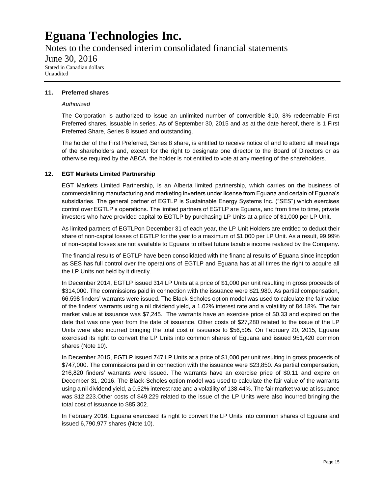Notes to the condensed interim consolidated financial statements

### June 30, 2016

Stated in Canadian dollars Unaudited

#### **11. Preferred shares**

#### *Authorized*

The Corporation is authorized to issue an unlimited number of convertible \$10, 8% redeemable First Preferred shares, issuable in series. As of September 30, 2015 and as at the date hereof, there is 1 First Preferred Share, Series 8 issued and outstanding.

The holder of the First Preferred, Series 8 share, is entitled to receive notice of and to attend all meetings of the shareholders and, except for the right to designate one director to the Board of Directors or as otherwise required by the ABCA, the holder is not entitled to vote at any meeting of the shareholders.

#### **12. EGT Markets Limited Partnership**

EGT Markets Limited Partnership, is an Alberta limited partnership, which carries on the business of commercializing manufacturing and marketing inverters under license from Eguana and certain of Eguana's subsidiaries. The general partner of EGTLP is Sustainable Energy Systems Inc. ("SES") which exercises control over EGTLP's operations. The limited partners of EGTLP are Eguana, and from time to time, private investors who have provided capital to EGTLP by purchasing LP Units at a price of \$1,000 per LP Unit.

As limited partners of EGTLPon December 31 of each year, the LP Unit Holders are entitled to deduct their share of non-capital losses of EGTLP for the year to a maximum of \$1,000 per LP Unit. As a result, 99.99% of non-capital losses are not available to Eguana to offset future taxable income realized by the Company.

The financial results of EGTLP have been consolidated with the financial results of Eguana since inception as SES has full control over the operations of EGTLP and Eguana has at all times the right to acquire all the LP Units not held by it directly.

In December 2014, EGTLP issued 314 LP Units at a price of \$1,000 per unit resulting in gross proceeds of \$314,000. The commissions paid in connection with the issuance were \$21,980. As partial compensation, 66,598 finders' warrants were issued. The Black-Scholes option model was used to calculate the fair value of the finders' warrants using a nil dividend yield, a 1.02% interest rate and a volatility of 84.18%. The fair market value at issuance was \$7,245. The warrants have an exercise price of \$0.33 and expired on the date that was one year from the date of issuance. Other costs of \$27,280 related to the issue of the LP Units were also incurred bringing the total cost of issuance to \$56,505. On February 20, 2015, Eguana exercised its right to convert the LP Units into common shares of Eguana and issued 951,420 common shares (Note 10).

In December 2015, EGTLP issued 747 LP Units at a price of \$1,000 per unit resulting in gross proceeds of \$747,000. The commissions paid in connection with the issuance were \$23,850. As partial compensation, 216,820 finders' warrants were issued. The warrants have an exercise price of \$0.11 and expire on December 31, 2016. The Black-Scholes option model was used to calculate the fair value of the warrants using a nil dividend yield, a 0.52% interest rate and a volatility of 138.44%. The fair market value at issuance was \$12,223.Other costs of \$49,229 related to the issue of the LP Units were also incurred bringing the total cost of issuance to \$85,302.

In February 2016, Eguana exercised its right to convert the LP Units into common shares of Eguana and issued 6,790,977 shares (Note 10).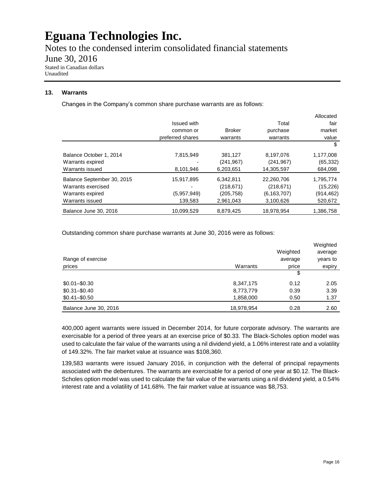Notes to the condensed interim consolidated financial statements

June 30, 2016

Stated in Canadian dollars Unaudited

#### **13. Warrants**

Changes in the Company's common share purchase warrants are as follows:

|                            |                    |               |               | Allocated |
|----------------------------|--------------------|---------------|---------------|-----------|
|                            | <b>Issued with</b> |               | Total         | fair      |
|                            | common or          | <b>Broker</b> | purchase      | market    |
|                            | preferred shares   | warrants      | warrants      | value     |
|                            |                    |               |               | \$        |
| Balance October 1, 2014    | 7,815,949          | 381,127       | 8,197,076     | 1,177,008 |
| Warrants expired           |                    | (241, 967)    | (241, 967)    | (65, 332) |
| Warrants issued            | 8,101,946          | 6,203,651     | 14,305,597    | 684,098   |
| Balance September 30, 2015 | 15,917,895         | 6.342.811     | 22.260.706    | 1,795,774 |
| Warrants exercised         |                    | (218, 671)    | (218, 671)    | (15, 226) |
| Warrants expired           | (5,957,949)        | (205, 758)    | (6, 163, 707) | (914,462) |
| Warrants issued            | 139,583            | 2,961,043     | 3,100,626     | 520,672   |
| Balance June 30, 2016      | 10,099,529         | 8,879,425     | 18.978.954    | 1,386,758 |

Outstanding common share purchase warrants at June 30, 2016 were as follows:

|                       |            |          | Weighted |
|-----------------------|------------|----------|----------|
|                       |            | Weighted | average  |
| Range of exercise     |            | average  | years to |
| prices                | Warrants   | price    | expiry   |
|                       |            | \$       |          |
| $$0.01 - $0.30$       | 8,347,175  | 0.12     | 2.05     |
| $$0.31 - $0.40$       | 8,773,779  | 0.39     | 3.39     |
| $$0.41 - $0.50$       | 1,858,000  | 0.50     | 1.37     |
| Balance June 30, 2016 | 18,978,954 | 0.28     | 2.60     |

400,000 agent warrants were issued in December 2014, for future corporate advisory. The warrants are exercisable for a period of three years at an exercise price of \$0.33. The Black-Scholes option model was used to calculate the fair value of the warrants using a nil dividend yield, a 1.06% interest rate and a volatility of 149.32%. The fair market value at issuance was \$108,360.

139,583 warrants were issued January 2016, in conjunction with the deferral of principal repayments associated with the debentures. The warrants are exercisable for a period of one year at \$0.12. The Black-Scholes option model was used to calculate the fair value of the warrants using a nil dividend yield, a 0.54% interest rate and a volatility of 141.68%. The fair market value at issuance was \$8,753.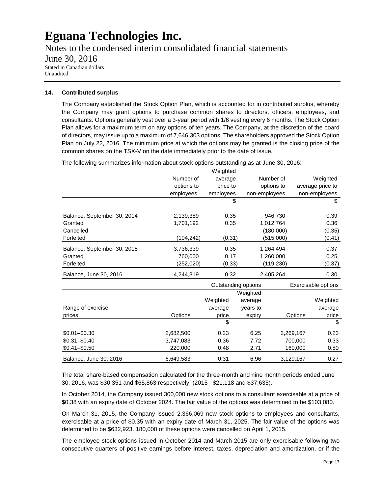Notes to the condensed interim consolidated financial statements June 30, 2016 Stated in Canadian dollars Unaudited

#### **14. Contributed surplus**

The Company established the Stock Option Plan, which is accounted for in contributed surplus, whereby the Company may grant options to purchase common shares to directors, officers, employees, and consultants. Options generally vest over a 3-year period with 1/6 vesting every 6 months. The Stock Option Plan allows for a maximum term on any options of ten years. The Company, at the discretion of the board of directors, may issue up to a maximum of 7,646,303 options. The shareholders approved the Stock Option Plan on July 22, 2016. The minimum price at which the options may be granted is the closing price of the common shares on the TSX-V on the date immediately prior to the date of issue.

Weighted Number of average Number of Weighted options to price to options to average price to employees employees non-employees non-employees  $\textcircled{\scriptsize{s}}$ Balance, September 30, 2014 2,139,389 0.35 946,730 0.39 Granted 1,701,192 0.35 1,012,764 0.36 Cancelled - - (180,000) (0.35) Forfeited (104,242) (0.31) (515,000) (0.41) Balance, September 30, 2015 3,736,339 0.35 1,264,494 0.37 Granted 760,000 0.17 1,260,000 0.25 Forfeited (252,020) (0.33) (119,230) (0.37) Balance, June 30, 2016 4,244,319 0.32 2,405,264 0.30 Weighted Weighted average Weighted Range of exercise and the state average years to average years to average average prices Options price expiry Options price  $\mathfrak s$ \$0.01–\$0.30 2,682,500 0.23 6.25 2,269,167 0.23 \$0.31–\$0.40 3,747,083 0.36 7.72 700,000 0.33 \$0.41–\$0.50 220,000 0.48 2.71 160,000 0.50 Balance, June 30, 2016 6,649,583 0.31 6.96 3,129,167 0.27 Outstanding options Exercisable options

The following summarizes information about stock options outstanding as at June 30, 2016:

The total share-based compensation calculated for the three-month and nine month periods ended June 30, 2016, was \$30,351 and \$65,863 respectively (2015 –\$21,118 and \$37,635).

In October 2014, the Company issued 300,000 new stock options to a consultant exercisable at a price of \$0.38 with an expiry date of October 2024. The fair value of the options was determined to be \$103,080.

On March 31, 2015, the Company issued 2,366,069 new stock options to employees and consultants, exercisable at a price of \$0.35 with an expiry date of March 31, 2025. The fair value of the options was determined to be \$632,923. 180,000 of these options were cancelled on April 1, 2015.

The employee stock options issued in October 2014 and March 2015 are only exercisable following two consecutive quarters of positive earnings before interest, taxes, depreciation and amortization, or if the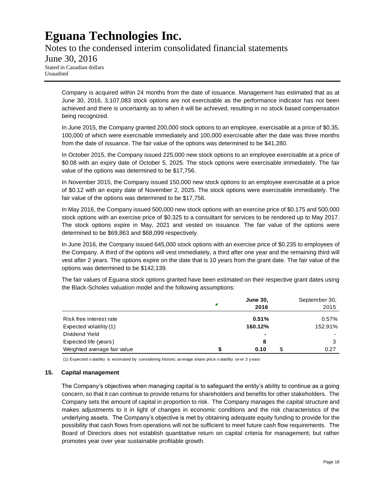Notes to the condensed interim consolidated financial statements June 30, 2016 Stated in Canadian dollars Unaudited

Company is acquired within 24 months from the date of issuance. Management has estimated that as at June 30, 2016, 3,107,083 stock options are not exercisable as the performance indicator has not been achieved and there is uncertainty as to when it will be achieved, resulting in no stock based compensation being recognized.

In June 2015, the Company granted 200,000 stock options to an employee, exercisable at a price of \$0.35, 100,000 of which were exercisable immediately and 100,000 exercisable after the date was three months from the date of issuance. The fair value of the options was determined to be \$41,280.

In October 2015, the Company issued 225,000 new stock options to an employee exercisable at a price of \$0.08 with an expiry date of October 5, 2025. The stock options were exercisable immediately. The fair value of the options was determined to be \$17,756.

In November 2015, the Company issued 150,000 new stock options to an employee exercisable at a price of \$0.12 with an expiry date of November 2, 2025. The stock options were exercisable immediately. The fair value of the options was determined to be \$17,756.

In May 2016, the Company issued 500,000 new stock options with an exercise price of \$0.175 and 500,000 stock options with an exercise price of \$0.325 to a consultant for services to be rendered up to May 2017. The stock options expire in May, 2021 and vested on issuance. The fair value of the options were determined to be \$69,863 and \$68,099 respectively.

In June 2016, the Company issued 645,000 stock options with an exercise price of \$0.235 to employees of the Company. A third of the options will vest immediately, a third after one year and the remaining third will vest after 2 years. The options expire on the date that is 10 years from the grant date. The fair value of the options was determined to be \$142,139.

The fair values of Eguana stock options granted have been estimated on their respective grant dates using the Black-Scholes valuation model and the following assumptions:

|                             |   | June 30,<br>2016 | September 30,<br>2015 |
|-----------------------------|---|------------------|-----------------------|
| Risk free interest rate     |   | 0.51%            | 0.57%                 |
| Expected volatility (1)     |   | 160.12%          | 152.91%               |
| Dividend Yield              |   | $\sim$           |                       |
| Expected life (years)       |   | 8                |                       |
| Weighted average fair value | S | 0.10             | 0.27                  |

(1) Expected v olatility is estimated by considering historic av erage share price v olatility ov er 3 y ears

#### **15. Capital management**

The Company's objectives when managing capital is to safeguard the entity's ability to continue as a going concern, so that it can continue to provide returns for shareholders and benefits for other stakeholders. The Company sets the amount of capital in proportion to risk. The Company manages the capital structure and makes adjustments to it in light of changes in economic conditions and the risk characteristics of the underlying assets. The Company's objective is met by obtaining adequate equity funding to provide for the possibility that cash flows from operations will not be sufficient to meet future cash flow requirements. The Board of Directors does not establish quantitative return on capital criteria for management; but rather promotes year over year sustainable profitable growth.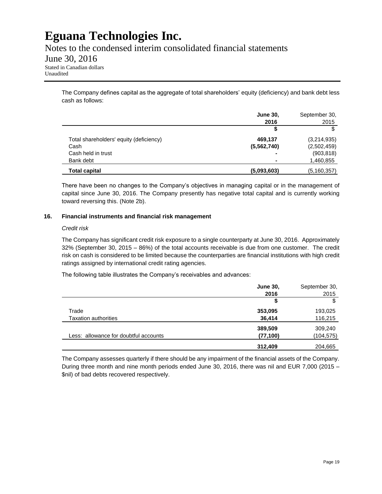Notes to the condensed interim consolidated financial statements

### June 30, 2016

Stated in Canadian dollars Unaudited

> The Company defines capital as the aggregate of total shareholders' equity (deficiency) and bank debt less cash as follows:

|                                         | <b>June 30,</b><br>2016 | September 30,<br>2015 |
|-----------------------------------------|-------------------------|-----------------------|
|                                         | \$                      | \$                    |
| Total shareholders' equity (deficiency) | 469.137                 | (3,214,935)           |
| Cash                                    | (5, 562, 740)           | (2,502,459)           |
| Cash held in trust                      |                         | (903, 818)            |
| Bank debt                               |                         | 1,460,855             |
| <b>Total capital</b>                    | (5,093,603)             | (5, 160, 357)         |

There have been no changes to the Company's objectives in managing capital or in the management of capital since June 30, 2016. The Company presently has negative total capital and is currently working toward reversing this. (Note 2b).

#### **16. Financial instruments and financial risk management**

#### *Credit risk*

The Company has significant credit risk exposure to a single counterparty at June 30, 2016. Approximately 32% (September 30, 2015 – 86%) of the total accounts receivable is due from one customer. The credit risk on cash is considered to be limited because the counterparties are financial institutions with high credit ratings assigned by international credit rating agencies.

The following table illustrates the Company's receivables and advances:

|                                       | <b>June 30,</b> | September 30, |
|---------------------------------------|-----------------|---------------|
|                                       | 2016            | 2015          |
|                                       | \$              | \$            |
| Trade                                 | 353,095         | 193,025       |
| <b>Taxation authorities</b>           | 36,414          | 116,215       |
|                                       | 389,509         | 309,240       |
| Less: allowance for doubtful accounts | (77, 100)       | (104, 575)    |
|                                       | 312,409         | 204,665       |

The Company assesses quarterly if there should be any impairment of the financial assets of the Company. During three month and nine month periods ended June 30, 2016, there was nil and EUR 7,000 (2015 – \$nil) of bad debts recovered respectively.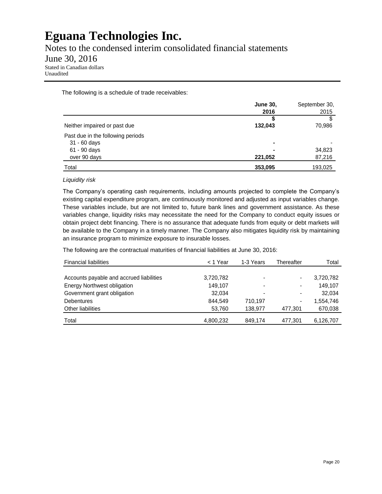Notes to the condensed interim consolidated financial statements

### June 30, 2016

Stated in Canadian dollars Unaudited

The following is a schedule of trade receivables:

|                                   | <b>June 30,</b> | September 30, |
|-----------------------------------|-----------------|---------------|
|                                   | 2016            | 2015          |
|                                   |                 |               |
| Neither impaired or past due      | 132,043         | 70,986        |
| Past due in the following periods |                 |               |
| 31 - 60 days                      |                 |               |
| 61 - 90 days                      |                 | 34,823        |
| over 90 days                      | 221,052         | 87,216        |
| Total                             | 353,095         | 193,025       |

#### *Liquidity risk*

The Company's operating cash requirements, including amounts projected to complete the Company's existing capital expenditure program, are continuously monitored and adjusted as input variables change. These variables include, but are not limited to, future bank lines and government assistance. As these variables change, liquidity risks may necessitate the need for the Company to conduct equity issues or obtain project debt financing. There is no assurance that adequate funds from equity or debt markets will be available to the Company in a timely manner. The Company also mitigates liquidity risk by maintaining an insurance program to minimize exposure to insurable losses.

The following are the contractual maturities of financial liabilities at June 30, 2016:

| <b>Financial liabilities</b>             | < 1 Year  | 1-3 Years | Thereafter | Total     |
|------------------------------------------|-----------|-----------|------------|-----------|
|                                          |           |           |            |           |
| Accounts payable and accrued liabilities | 3,720,782 |           |            | 3,720,782 |
| <b>Energy Northwest obligation</b>       | 149.107   |           |            | 149.107   |
| Government grant obligation              | 32.034    |           |            | 32.034    |
| Debentures                               | 844.549   | 710.197   |            | 1,554,746 |
| Other liabilities                        | 53,760    | 138.977   | 477,301    | 670,038   |
| Total                                    | 4,800,232 | 849,174   | 477.301    | 6,126,707 |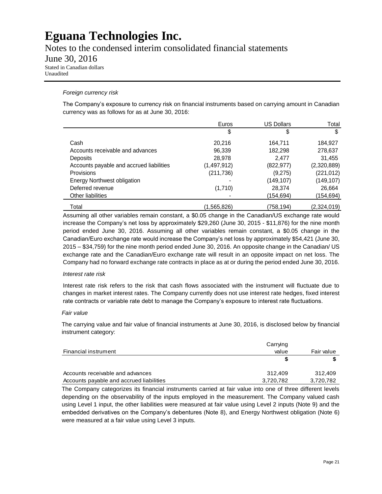Notes to the condensed interim consolidated financial statements

### June 30, 2016

Stated in Canadian dollars Unaudited

#### *Foreign currency risk*

The Company's exposure to currency risk on financial instruments based on carrying amount in Canadian currency was as follows for as at June 30, 2016:

|                                          | Euros       | <b>US Dollars</b> | Total       |
|------------------------------------------|-------------|-------------------|-------------|
|                                          | \$          | \$                | \$          |
| Cash                                     | 20,216      | 164,711           | 184,927     |
| Accounts receivable and advances         | 96,339      | 182,298           | 278,637     |
| Deposits                                 | 28,978      | 2.477             | 31,455      |
| Accounts payable and accrued liabilities | (1,497,912) | (822, 977)        | (2,320,889) |
| <b>Provisions</b>                        | (211, 736)  | (9,275)           | (221, 012)  |
| <b>Energy Northwest obligation</b>       |             | (149, 107)        | (149, 107)  |
| Deferred revenue                         | (1,710)     | 28,374            | 26,664      |
| Other liabilities                        |             | (154,694)         | (154,694)   |
| Total                                    | (1,565,826) | (758,194)         | (2,324,019) |

Assuming all other variables remain constant, a \$0.05 change in the Canadian/US exchange rate would increase the Company's net loss by approximately \$29,260 (June 30, 2015 - \$11,876) for the nine month period ended June 30, 2016. Assuming all other variables remain constant, a \$0.05 change in the Canadian/Euro exchange rate would increase the Company's net loss by approximately \$54,421 (June 30, 2015 – \$34,759) for the nine month period ended June 30, 2016. An opposite change in the Canadian/ US exchange rate and the Canadian/Euro exchange rate will result in an opposite impact on net loss. The Company had no forward exchange rate contracts in place as at or during the period ended June 30, 2016.

#### *Interest rate risk*

Interest rate risk refers to the risk that cash flows associated with the instrument will fluctuate due to changes in market interest rates. The Company currently does not use interest rate hedges, fixed interest rate contracts or variable rate debt to manage the Company's exposure to interest rate fluctuations.

#### *Fair value*

The carrying value and fair value of financial instruments at June 30, 2016, is disclosed below by financial instrument category:

|                                          | Carrying  |            |
|------------------------------------------|-----------|------------|
| Financial instrument                     | value     | Fair value |
|                                          |           |            |
| Accounts receivable and advances         | 312.409   | 312.409    |
| Accounts payable and accrued liabilities | 3,720,782 | 3,720,782  |

The Company categorizes its financial instruments carried at fair value into one of three different levels depending on the observability of the inputs employed in the measurement. The Company valued cash using Level 1 input, the other liabilities were measured at fair value using Level 2 inputs (Note 9) and the embedded derivatives on the Company's debentures (Note 8), and Energy Northwest obligation (Note 6) were measured at a fair value using Level 3 inputs.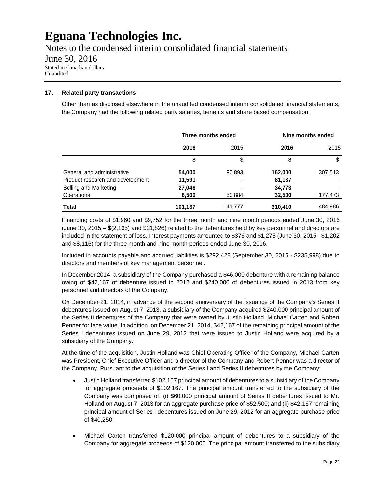Notes to the condensed interim consolidated financial statements June 30, 2016 Stated in Canadian dollars Unaudited

#### **17. Related party transactions**

Other than as disclosed elsewhere in the unaudited condensed interim consolidated financial statements, the Company had the following related party salaries, benefits and share based compensation:

|                                  | Three months ended |                | Nine months ended |         |
|----------------------------------|--------------------|----------------|-------------------|---------|
|                                  | 2016               | 2015           | 2016              | 2015    |
|                                  |                    | \$             | S                 | \$      |
| General and administrative       | 54,000             | 90,893         | 162,000           | 307,513 |
| Product research and development | 11,591             | $\blacksquare$ | 81,137            |         |
| Selling and Marketing            | 27,046             |                | 34,773            |         |
| Operations                       | 8,500              | 50,884         | 32,500            | 177,473 |
| Total                            | 101,137            | 141.777        | 310,410           | 484,986 |

Financing costs of \$1,960 and \$9,752 for the three month and nine month periods ended June 30, 2016 (June 30, 2015 – \$(2,165) and \$21,826) related to the debentures held by key personnel and directors are included in the statement of loss. Interest payments amounted to \$376 and \$1,275 (June 30, 2015 - \$1,202 and \$8,116) for the three month and nine month periods ended June 30, 2016.

Included in accounts payable and accrued liabilities is \$292,428 (September 30, 2015 - \$235,998) due to directors and members of key management personnel.

In December 2014, a subsidiary of the Company purchased a \$46,000 debenture with a remaining balance owing of \$42,167 of debenture issued in 2012 and \$240,000 of debentures issued in 2013 from key personnel and directors of the Company.

On December 21, 2014, in advance of the second anniversary of the issuance of the Company's Series II debentures issued on August 7, 2013, a subsidiary of the Company acquired \$240,000 principal amount of the Series II debentures of the Company that were owned by Justin Holland, Michael Carten and Robert Penner for face value. In addition, on December 21, 2014, \$42,167 of the remaining principal amount of the Series I debentures issued on June 29, 2012 that were issued to Justin Holland were acquired by a subsidiary of the Company.

At the time of the acquisition, Justin Holland was Chief Operating Officer of the Company, Michael Carten was President, Chief Executive Officer and a director of the Company and Robert Penner was a director of the Company. Pursuant to the acquisition of the Series I and Series II debentures by the Company:

- Justin Holland transferred \$102,167 principal amount of debentures to a subsidiary of the Company for aggregate proceeds of \$102,167. The principal amount transferred to the subsidiary of the Company was comprised of: (i) \$60,000 principal amount of Series II debentures issued to Mr. Holland on August 7, 2013 for an aggregate purchase price of \$52,500; and (ii) \$42,167 remaining principal amount of Series I debentures issued on June 29, 2012 for an aggregate purchase price of \$40,250;
- Michael Carten transferred \$120,000 principal amount of debentures to a subsidiary of the Company for aggregate proceeds of \$120,000. The principal amount transferred to the subsidiary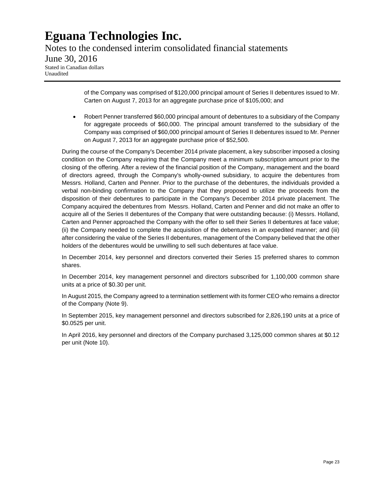Notes to the condensed interim consolidated financial statements June 30, 2016 Stated in Canadian dollars Unaudited

> of the Company was comprised of \$120,000 principal amount of Series II debentures issued to Mr. Carten on August 7, 2013 for an aggregate purchase price of \$105,000; and

 Robert Penner transferred \$60,000 principal amount of debentures to a subsidiary of the Company for aggregate proceeds of \$60,000. The principal amount transferred to the subsidiary of the Company was comprised of \$60,000 principal amount of Series II debentures issued to Mr. Penner on August 7, 2013 for an aggregate purchase price of \$52,500.

During the course of the Company's December 2014 private placement, a key subscriber imposed a closing condition on the Company requiring that the Company meet a minimum subscription amount prior to the closing of the offering. After a review of the financial position of the Company, management and the board of directors agreed, through the Company's wholly-owned subsidiary, to acquire the debentures from Messrs. Holland, Carten and Penner. Prior to the purchase of the debentures, the individuals provided a verbal non-binding confirmation to the Company that they proposed to utilize the proceeds from the disposition of their debentures to participate in the Company's December 2014 private placement. The Company acquired the debentures from Messrs. Holland, Carten and Penner and did not make an offer to acquire all of the Series II debentures of the Company that were outstanding because: (i) Messrs. Holland, Carten and Penner approached the Company with the offer to sell their Series II debentures at face value; (ii) the Company needed to complete the acquisition of the debentures in an expedited manner; and (iii) after considering the value of the Series II debentures, management of the Company believed that the other holders of the debentures would be unwilling to sell such debentures at face value.

In December 2014, key personnel and directors converted their Series 15 preferred shares to common shares.

In December 2014, key management personnel and directors subscribed for 1,100,000 common share units at a price of \$0.30 per unit.

In August 2015, the Company agreed to a termination settlement with its former CEO who remains a director of the Company (Note 9).

In September 2015, key management personnel and directors subscribed for 2,826,190 units at a price of \$0.0525 per unit.

In April 2016, key personnel and directors of the Company purchased 3,125,000 common shares at \$0.12 per unit (Note 10).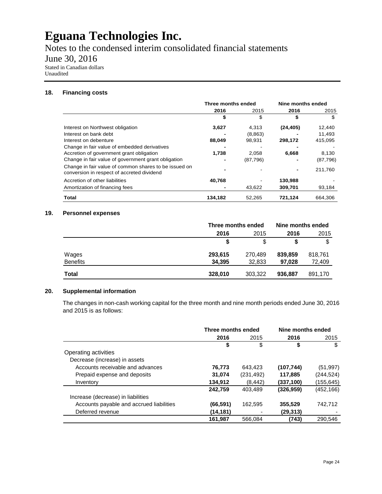Notes to the condensed interim consolidated financial statements

### June 30, 2016

Stated in Canadian dollars Unaudited

#### **18. Financing costs**

|                                                                                                     | Three months ended |          | Nine months ended |           |
|-----------------------------------------------------------------------------------------------------|--------------------|----------|-------------------|-----------|
|                                                                                                     | 2016               | 2015     | 2016              | 2015      |
|                                                                                                     | S                  | \$       | \$                | \$        |
| Interest on Northwest obligation                                                                    | 3,627              | 4.313    | (24, 405)         | 12,440    |
| Interest on bank debt                                                                               |                    | (8,863)  |                   | 11,493    |
| Interest on debenture                                                                               | 88,049             | 98,931   | 298,172           | 415,095   |
| Change in fair value of embedded derivatives                                                        |                    |          |                   |           |
| Accretion of government grant obligation                                                            | 1,738              | 2.058    | 6,668             | 8,130     |
| Change in fair value of government grant obligation                                                 |                    | (87,796) |                   | (87, 796) |
| Change in fair value of common shares to be issued on<br>conversion in respect of accreted dividend |                    |          |                   | 211,760   |
| Accretion of other liabilities                                                                      | 40,768             |          | 130,988           |           |
| Amortization of financing fees                                                                      |                    | 43,622   | 309,701           | 93,184    |
| Total                                                                                               | 134,182            | 52.265   | 721,124           | 664,306   |

#### **19. Personnel expenses**

|                 | Three months ended |         | Nine months ended |         |
|-----------------|--------------------|---------|-------------------|---------|
|                 | 2016               | 2015    | 2016              | 2015    |
|                 |                    |         |                   | \$      |
| Wages           | 293,615            | 270,489 | 839,859           | 818,761 |
| <b>Benefits</b> | 34,395             | 32,833  | 97,028            | 72,409  |
| <b>Total</b>    | 328,010            | 303,322 | 936,887           | 891,170 |

#### **20. Supplemental information**

The changes in non-cash working capital for the three month and nine month periods ended June 30, 2016 and 2015 is as follows:

|                                          | Three months ended |            | Nine months ended |            |
|------------------------------------------|--------------------|------------|-------------------|------------|
|                                          | 2016               | 2015       | 2016              | 2015       |
|                                          | \$                 | \$         | \$                | \$         |
| Operating activities                     |                    |            |                   |            |
| Decrease (increase) in assets            |                    |            |                   |            |
| Accounts receivable and advances         | 76,773             | 643.423    | (107, 744)        | (51, 997)  |
| Prepaid expense and deposits             | 31,074             | (231, 492) | 117,885           | (244, 524) |
| Inventory                                | 134,912            | (8, 442)   | (337, 100)        | (155,645)  |
|                                          | 242,759            | 403.489    | (326, 959)        | (452, 166) |
| Increase (decrease) in liabilities       |                    |            |                   |            |
| Accounts payable and accrued liabilities | (66, 591)          | 162.595    | 355,529           | 742.712    |
| Deferred revenue                         | (14, 181)          |            | (29, 313)         |            |
|                                          | 161,987            | 566,084    | (743)             | 290,546    |